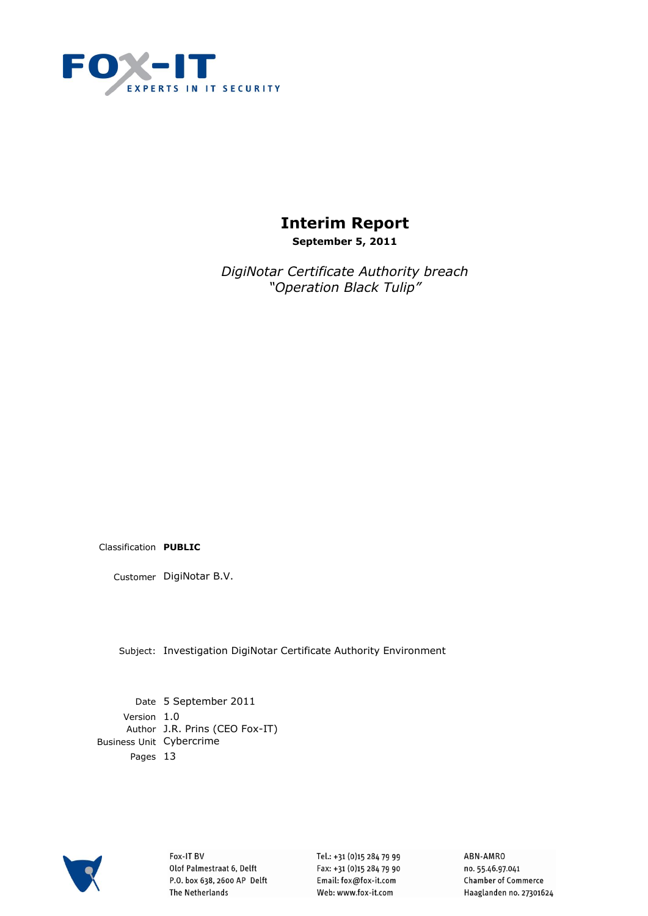

# **Interim Report**

**September 5, 2011**

*DigiNotar Certificate Authority breach "Operation Black Tulip"*

Classification **PUBLIC**

Customer DigiNotar B.V.

Subject: Investigation DigiNotar Certificate Authority Environment

Date 5 September 2011 Version 1.0 Author J.R. Prins (CEO Fox-IT) Business Unit Cybercrime Pages 13



Fox-IT BV Olof Palmestraat 6, Delft P.O. box 638, 2600 AP Delft **The Netherlands** 

Tel.: +31 (0)15 284 79 99 Fax: +31 (0)15 284 79 90 Email: fox@fox-it.com Web: www.fox-it.com

ABN-AMRO no. 55.46.97.041 **Chamber of Commerce** Haaglanden no. 27301624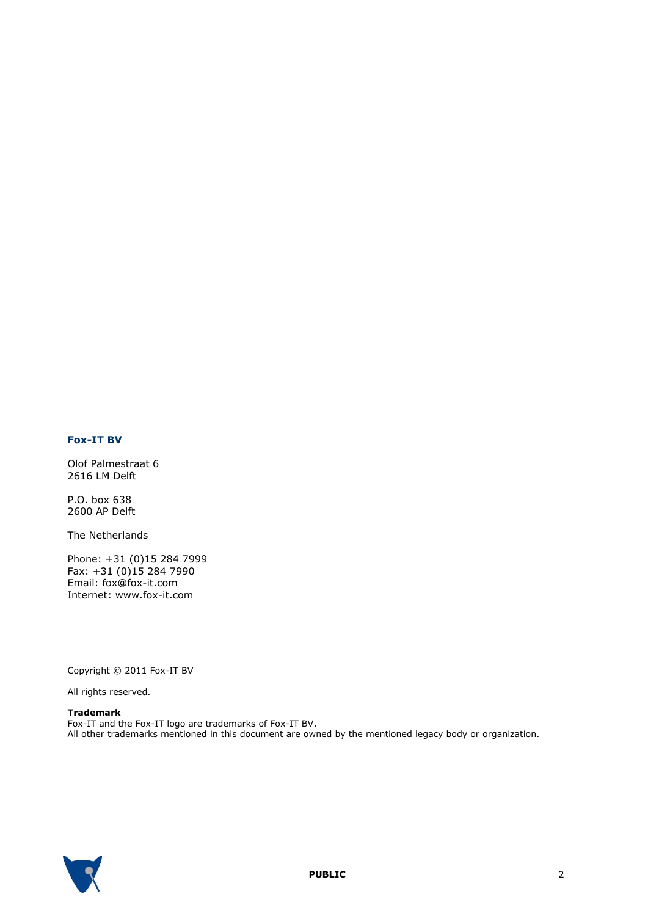#### **Fox-IT BV**

Olof Palmestraat 6 2616 LM Delft

P.O. box 638 2600 AP Delft

The Netherlands

Phone: +31 (0)15 284 7999 Fax: +31 (0)15 284 7990 Email: fox@fox-it.com Internet: www.fox-it.com

Copyright © 2011 Fox-IT BV

All rights reserved.

#### **Trademark**

Fox-IT and the Fox-IT logo are trademarks of Fox-IT BV. All other trademarks mentioned in this document are owned by the mentioned legacy body or organization.

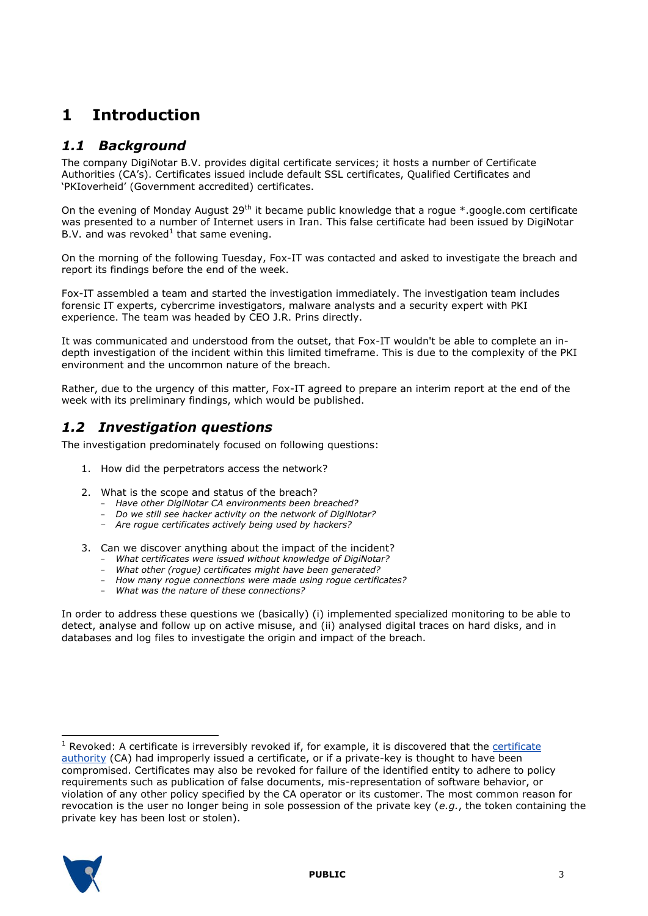## **1 Introduction**

### *1.1 Background*

The company DigiNotar B.V. provides digital certificate services; it hosts a number of Certificate Authorities (CA"s). Certificates issued include default SSL certificates, Qualified Certificates and "PKIoverheid" (Government accredited) certificates.

On the evening of Monday August 29<sup>th</sup> it became public knowledge that a rogue  $*$ .google.com certificate was presented to a number of Internet users in Iran. This false certificate had been issued by DigiNotar B.V. and was revoked<sup>1</sup> that same evening.

On the morning of the following Tuesday, Fox-IT was contacted and asked to investigate the breach and report its findings before the end of the week.

Fox-IT assembled a team and started the investigation immediately. The investigation team includes forensic IT experts, cybercrime investigators, malware analysts and a security expert with PKI experience. The team was headed by CEO J.R. Prins directly.

It was communicated and understood from the outset, that Fox-IT wouldn't be able to complete an indepth investigation of the incident within this limited timeframe. This is due to the complexity of the PKI environment and the uncommon nature of the breach.

Rather, due to the urgency of this matter, Fox-IT agreed to prepare an interim report at the end of the week with its preliminary findings, which would be published.

## *1.2 Investigation questions*

The investigation predominately focused on following questions:

- 1. How did the perpetrators access the network?
- 2. What is the scope and status of the breach?
	- *Have other DigiNotar CA environments been breached?*
	- *Do we still see hacker activity on the network of DigiNotar?*
	- *Are rogue certificates actively being used by hackers?*
- 3. Can we discover anything about the impact of the incident?
	- *What certificates were issued without knowledge of DigiNotar?*
	- *What other (rogue) certificates might have been generated?*
	- *How many rogue connections were made using rogue certificates?*
	- *What was the nature of these connections?*

In order to address these questions we (basically) (i) implemented specialized monitoring to be able to detect, analyse and follow up on active misuse, and (ii) analysed digital traces on hard disks, and in databases and log files to investigate the origin and impact of the breach.

 $<sup>1</sup>$  Revoked: A [certificate](http://en.wikipedia.org/wiki/Certificate_authority) is irreversibly revoked if, for example, it is discovered that the certificate</sup> [authority](http://en.wikipedia.org/wiki/Certificate_authority) (CA) had improperly issued a certificate, or if a private-key is thought to have been compromised. Certificates may also be revoked for failure of the identified entity to adhere to policy requirements such as publication of false documents, mis-representation of software behavior, or violation of any other policy specified by the CA operator or its customer. The most common reason for revocation is the user no longer being in sole possession of the private key (*e.g.*, the token containing the private key has been lost or stolen).



-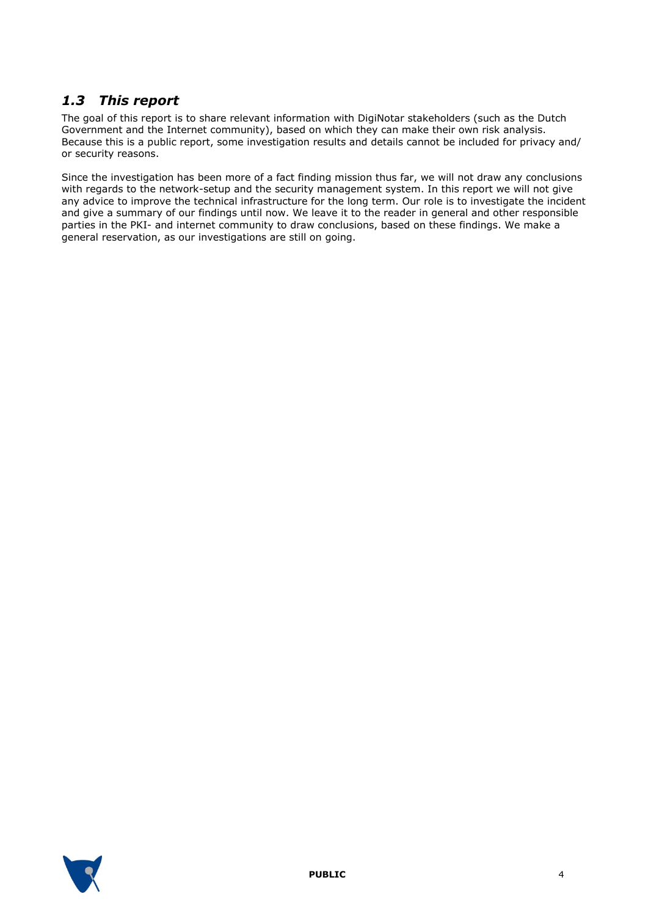## *1.3 This report*

The goal of this report is to share relevant information with DigiNotar stakeholders (such as the Dutch Government and the Internet community), based on which they can make their own risk analysis. Because this is a public report, some investigation results and details cannot be included for privacy and/ or security reasons.

Since the investigation has been more of a fact finding mission thus far, we will not draw any conclusions with regards to the network-setup and the security management system. In this report we will not give any advice to improve the technical infrastructure for the long term. Our role is to investigate the incident and give a summary of our findings until now. We leave it to the reader in general and other responsible parties in the PKI- and internet community to draw conclusions, based on these findings. We make a general reservation, as our investigations are still on going.

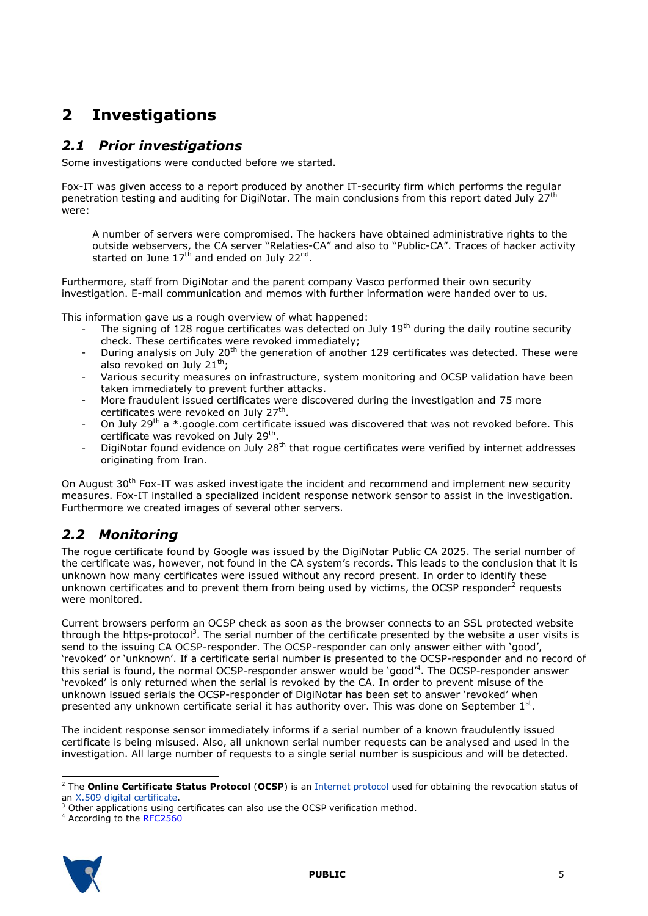# **2 Investigations**

## *2.1 Prior investigations*

Some investigations were conducted before we started.

Fox-IT was given access to a report produced by another IT-security firm which performs the regular penetration testing and auditing for DigiNotar. The main conclusions from this report dated July 27<sup>th</sup> were:

A number of servers were compromised. The hackers have obtained administrative rights to the outside webservers, the CA server "Relaties-CA" and also to "Public-CA". Traces of hacker activity started on June 17<sup>th</sup> and ended on July 22<sup>nd</sup>.

Furthermore, staff from DigiNotar and the parent company Vasco performed their own security investigation. E-mail communication and memos with further information were handed over to us.

This information gave us a rough overview of what happened:

- The signing of 128 roque certificates was detected on July  $19<sup>th</sup>$  during the daily routine security check. These certificates were revoked immediately;
- During analysis on July 20<sup>th</sup> the generation of another 129 certificates was detected. These were also revoked on July 21<sup>th</sup>;
- Various security measures on infrastructure, system monitoring and OCSP validation have been taken immediately to prevent further attacks.
- More fraudulent issued certificates were discovered during the investigation and 75 more certificates were revoked on July 27<sup>th</sup>.
- On July 29<sup>th</sup> a \*.google.com certificate issued was discovered that was not revoked before. This certificate was revoked on July 29<sup>th</sup>.
- DigiNotar found evidence on  $J_{\text{ul}}$  28<sup>th</sup> that rogue certificates were verified by internet addresses originating from Iran.

On August 30<sup>th</sup> Fox-IT was asked investigate the incident and recommend and implement new security measures. Fox-IT installed a specialized incident response network sensor to assist in the investigation. Furthermore we created images of several other servers.

## *2.2 Monitoring*

The rogue certificate found by Google was issued by the DigiNotar Public CA 2025. The serial number of the certificate was, however, not found in the CA system"s records. This leads to the conclusion that it is unknown how many certificates were issued without any record present. In order to identify these unknown certificates and to prevent them from being used by victims, the OCSP responder<sup>2</sup> requests were monitored.

Current browsers perform an OCSP check as soon as the browser connects to an SSL protected website through the https-protocol<sup>3</sup>. The serial number of the certificate presented by the website a user visits is send to the issuing CA OCSP-responder. The OCSP-responder can only answer either with "good", "revoked" or "unknown". If a certificate serial number is presented to the OCSP-responder and no record of this serial is found, the normal OCSP-responder answer would be 'good'<sup>4</sup>. The OCSP-responder answer "revoked" is only returned when the serial is revoked by the CA. In order to prevent misuse of the unknown issued serials the OCSP-responder of DigiNotar has been set to answer "revoked" when presented any unknown certificate serial it has authority over. This was done on September  $1<sup>st</sup>$ .

The incident response sensor immediately informs if a serial number of a known fraudulently issued certificate is being misused. Also, all unknown serial number requests can be analysed and used in the investigation. All large number of requests to a single serial number is suspicious and will be detected.

<sup>&</sup>lt;sup>4</sup> According to the **RFC2560** 



-

<sup>2</sup> The **Online Certificate Status Protocol** (**OCSP**) is an [Internet protocol](http://en.wikipedia.org/wiki/Internet_protocol) used for obtaining the revocation status of an [X.509](http://en.wikipedia.org/wiki/X.509) [digital certificate.](http://en.wikipedia.org/wiki/Digital_certificate)

<sup>&</sup>lt;sup>3</sup> Other applications using certificates can also use the OCSP verification method.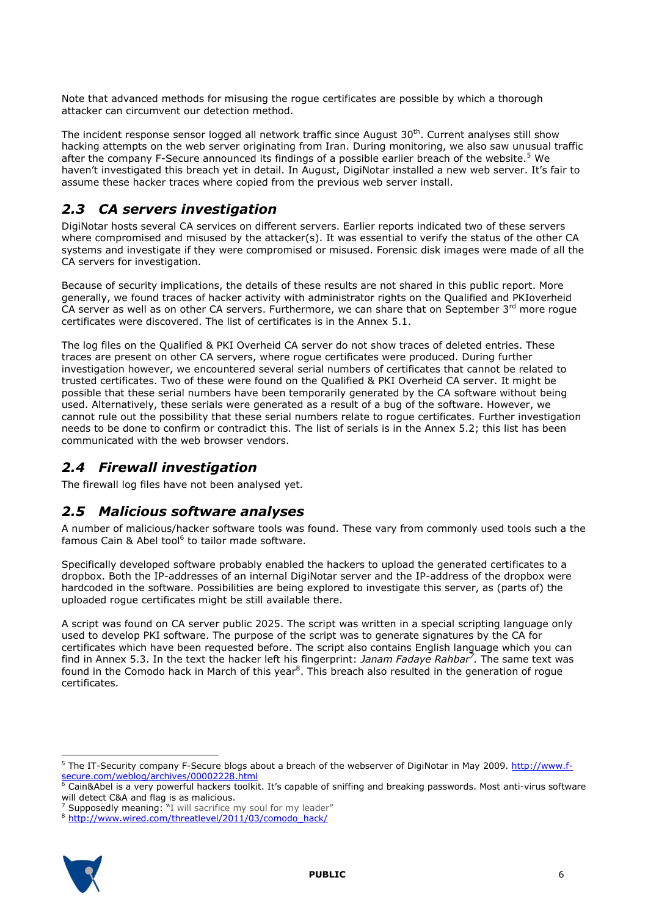Note that advanced methods for misusing the rogue certificates are possible by which a thorough attacker can circumvent our detection method.

The incident response sensor logged all network traffic since August 30<sup>th</sup>. Current analyses still show hacking attempts on the web server originating from Iran. During monitoring, we also saw unusual traffic after the company F-Secure announced its findings of a possible earlier breach of the website.<sup>5</sup> We haven't investigated this breach yet in detail. In August, DigiNotar installed a new web server. It's fair to assume these hacker traces where copied from the previous web server install.

## *2.3 CA servers investigation*

DigiNotar hosts several CA services on different servers. Earlier reports indicated two of these servers where compromised and misused by the attacker(s). It was essential to verify the status of the other CA systems and investigate if they were compromised or misused. Forensic disk images were made of all the CA servers for investigation.

Because of security implications, the details of these results are not shared in this public report. More generally, we found traces of hacker activity with administrator rights on the Qualified and PKIoverheid CA server as well as on other CA servers. Furthermore, we can share that on September  $3<sup>rd</sup>$  more rogue certificates were discovered. The list of certificates is in the Annex 5.1.

The log files on the Qualified & PKI Overheid CA server do not show traces of deleted entries. These traces are present on other CA servers, where rogue certificates were produced. During further investigation however, we encountered several serial numbers of certificates that cannot be related to trusted certificates. Two of these were found on the Qualified & PKI Overheid CA server. It might be possible that these serial numbers have been temporarily generated by the CA software without being used. Alternatively, these serials were generated as a result of a bug of the software. However, we cannot rule out the possibility that these serial numbers relate to rogue certificates. Further investigation needs to be done to confirm or contradict this. The list of serials is in the Annex 5.2; this list has been communicated with the web browser vendors.

## *2.4 Firewall investigation*

The firewall log files have not been analysed yet.

## *2.5 Malicious software analyses*

A number of malicious/hacker software tools was found. These vary from commonly used tools such a the famous Cain & Abel tool<sup>6</sup> to tailor made software.

Specifically developed software probably enabled the hackers to upload the generated certificates to a dropbox. Both the IP-addresses of an internal DigiNotar server and the IP-address of the dropbox were hardcoded in the software. Possibilities are being explored to investigate this server, as (parts of) the uploaded rogue certificates might be still available there.

A script was found on CA server public 2025. The script was written in a special scripting language only used to develop PKI software. The purpose of the script was to generate signatures by the CA for certificates which have been requested before. The script also contains English language which you can find in Annex [5.3.](#page-12-0) In the text the hacker left his fingerprint: *Janam Fadaye Rahbar<sup>7</sup> .* The same text was found in the Comodo hack in March of this year<sup>8</sup>. This breach also resulted in the generation of rogue certificates.

<sup>8</sup> [http://www.wired.com/threatlevel/2011/03/comodo\\_hack/](http://www.wired.com/threatlevel/2011/03/comodo_hack/)



-

<sup>&</sup>lt;sup>5</sup> The IT-Security company F-Secure blogs about a breach of the webserver of DigiNotar in May 2009. [http://www.f](http://www.f-secure.com/weblog/archives/00002228.html)[secure.com/weblog/archives/00002228.html](http://www.f-secure.com/weblog/archives/00002228.html)<br>6 Cain&Abol is a visit

Cain&Abel is a very powerful hackers toolkit. It's capable of sniffing and breaking passwords. Most anti-virus software will detect C&A and flag is as malicious.

<sup>&</sup>lt;sup>7</sup> Supposedly meaning: "I will sacrifice my soul for my leader"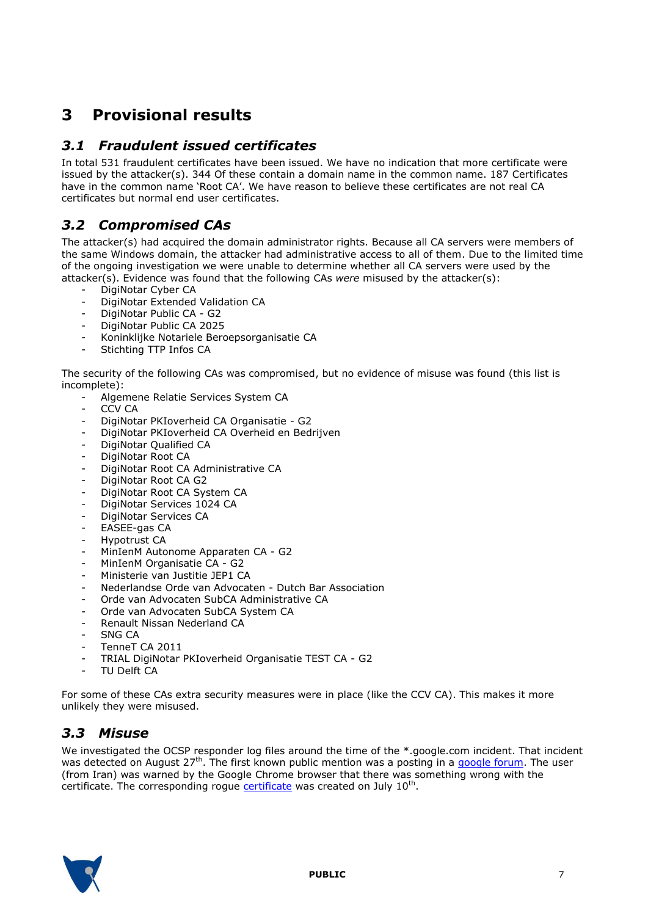# **3 Provisional results**

## *3.1 Fraudulent issued certificates*

In total 531 fraudulent certificates have been issued. We have no indication that more certificate were issued by the attacker(s). 344 Of these contain a domain name in the common name. 187 Certificates have in the common name "Root CA". We have reason to believe these certificates are not real CA certificates but normal end user certificates.

## *3.2 Compromised CAs*

The attacker(s) had acquired the domain administrator rights. Because all CA servers were members of the same Windows domain, the attacker had administrative access to all of them. Due to the limited time of the ongoing investigation we were unable to determine whether all CA servers were used by the attacker(s). Evidence was found that the following CAs *were* misused by the attacker(s):

- DigiNotar Cyber CA
- DigiNotar Extended Validation CA
- DigiNotar Public CA G2
- DigiNotar Public CA 2025
- Koninklijke Notariele Beroepsorganisatie CA
- Stichting TTP Infos CA

The security of the following CAs was compromised, but no evidence of misuse was found (this list is incomplete):

- Algemene Relatie Services System CA
- CCV CA
- DigiNotar PKIoverheid CA Organisatie G2
- DigiNotar PKIoverheid CA Overheid en Bedrijven
- DigiNotar Qualified CA
- DigiNotar Root CA
- DigiNotar Root CA Administrative CA
- DigiNotar Root CA G2
- DigiNotar Root CA System CA
- DigiNotar Services 1024 CA
- DigiNotar Services CA
- EASEE-gas CA
- Hypotrust CA
- MinIenM Autonome Apparaten CA G2
- MinIenM Organisatie CA G2
- Ministerie van Justitie JEP1 CA
- Nederlandse Orde van Advocaten Dutch Bar Association
- Orde van Advocaten SubCA Administrative CA
- Orde van Advocaten SubCA System CA
- Renault Nissan Nederland CA
- SNG CA
- TenneT CA 2011
- TRIAL DigiNotar PKIoverheid Organisatie TEST CA G2
- TU Delft CA

For some of these CAs extra security measures were in place (like the CCV CA). This makes it more unlikely they were misused.

## *3.3 Misuse*

We investigated the OCSP responder log files around the time of the \*.google.com incident. That incident was detected on August 27<sup>th</sup>. The first known public mention was a posting in a [google forum.](http://www.google.co.uk/support/forum/p/gmail/thread?tid=2da6158b094b225a&hl=en) The user (from Iran) was warned by the Google Chrome browser that there was something wrong with the certificate. The corresponding rogue **certificate** was created on July 10<sup>th</sup>.

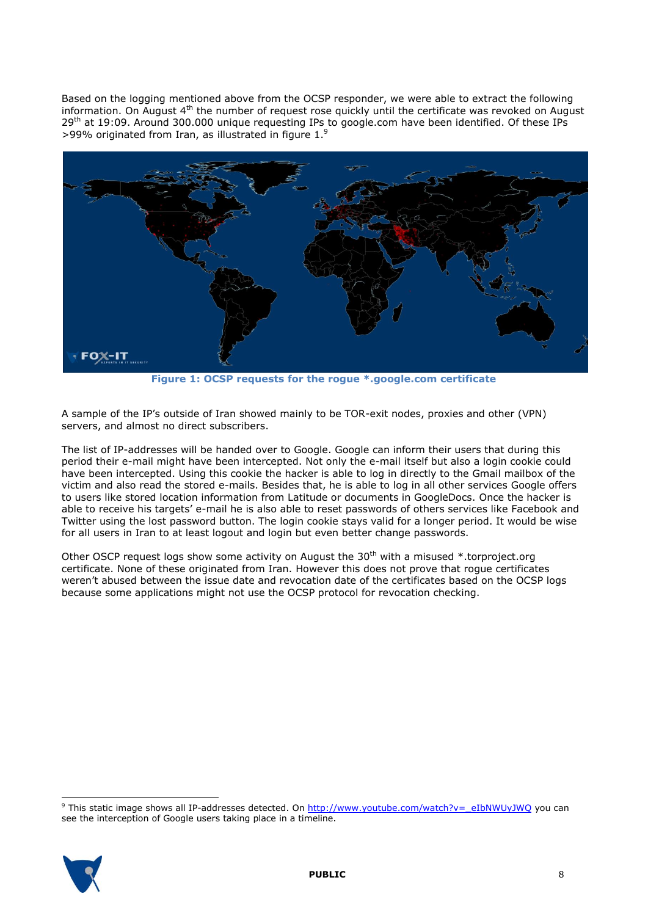Based on the logging mentioned above from the OCSP responder, we were able to extract the following information. On August 4<sup>th</sup> the number of request rose quickly until the certificate was revoked on August 29<sup>th</sup> at 19:09. Around 300.000 unique requesting IPs to google.com have been identified. Of these IPs >99% originated from Iran, as illustrated in figure 1.<sup>9</sup>



**Figure 1: OCSP requests for the rogue \*.google.com certificate**

A sample of the IP"s outside of Iran showed mainly to be TOR-exit nodes, proxies and other (VPN) servers, and almost no direct subscribers.

The list of IP-addresses will be handed over to Google. Google can inform their users that during this period their e-mail might have been intercepted. Not only the e-mail itself but also a login cookie could have been intercepted. Using this cookie the hacker is able to log in directly to the Gmail mailbox of the victim and also read the stored e-mails. Besides that, he is able to log in all other services Google offers to users like stored location information from Latitude or documents in GoogleDocs. Once the hacker is able to receive his targets" e-mail he is also able to reset passwords of others services like Facebook and Twitter using the lost password button. The login cookie stays valid for a longer period. It would be wise for all users in Iran to at least logout and login but even better change passwords.

Other OSCP request logs show some activity on August the 30<sup>th</sup> with a misused \*.torproject.org certificate. None of these originated from Iran. However this does not prove that rogue certificates weren"t abused between the issue date and revocation date of the certificates based on the OCSP logs because some applications might not use the OCSP protocol for revocation checking.

<sup>&</sup>lt;sup>9</sup> This static image shows all IP-addresses detected. On [http://www.youtube.com/watch?v=\\_eIbNWUyJWQ](http://www.youtube.com/watch?v=_eIbNWUyJWQ) you can see the interception of Google users taking place in a timeline.



i,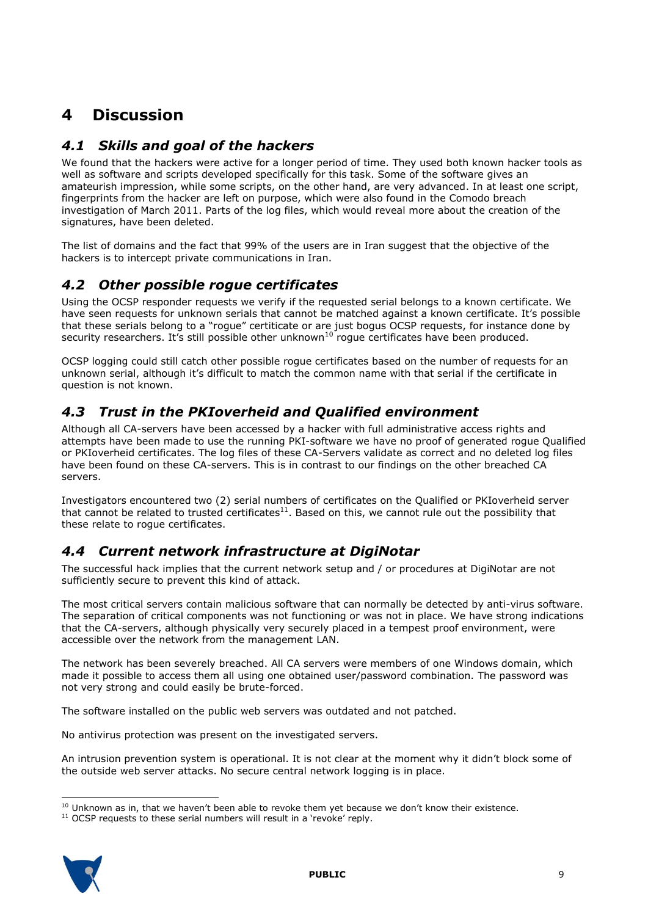# **4 Discussion**

## *4.1 Skills and goal of the hackers*

We found that the hackers were active for a longer period of time. They used both known hacker tools as well as software and scripts developed specifically for this task. Some of the software gives an amateurish impression, while some scripts, on the other hand, are very advanced. In at least one script, fingerprints from the hacker are left on purpose, which were also found in the Comodo breach investigation of March 2011. Parts of the log files, which would reveal more about the creation of the signatures, have been deleted.

The list of domains and the fact that 99% of the users are in Iran suggest that the objective of the hackers is to intercept private communications in Iran.

## *4.2 Other possible rogue certificates*

Using the OCSP responder requests we verify if the requested serial belongs to a known certificate. We have seen requests for unknown serials that cannot be matched against a known certificate. It's possible that these serials belong to a "rogue" certiticate or are just bogus OCSP requests, for instance done by security researchers. It's still possible other unknown<sup>10</sup> rogue certificates have been produced.

OCSP logging could still catch other possible rogue certificates based on the number of requests for an unknown serial, although it"s difficult to match the common name with that serial if the certificate in question is not known.

## *4.3 Trust in the PKIoverheid and Qualified environment*

Although all CA-servers have been accessed by a hacker with full administrative access rights and attempts have been made to use the running PKI-software we have no proof of generated rogue Qualified or PKIoverheid certificates. The log files of these CA-Servers validate as correct and no deleted log files have been found on these CA-servers. This is in contrast to our findings on the other breached CA servers.

Investigators encountered two (2) serial numbers of certificates on the Qualified or PKIoverheid server that cannot be related to trusted certificates<sup>11</sup>. Based on this, we cannot rule out the possibility that these relate to rogue certificates.

## *4.4 Current network infrastructure at DigiNotar*

The successful hack implies that the current network setup and / or procedures at DigiNotar are not sufficiently secure to prevent this kind of attack.

The most critical servers contain malicious software that can normally be detected by anti-virus software. The separation of critical components was not functioning or was not in place. We have strong indications that the CA-servers, although physically very securely placed in a tempest proof environment, were accessible over the network from the management LAN.

The network has been severely breached. All CA servers were members of one Windows domain, which made it possible to access them all using one obtained user/password combination. The password was not very strong and could easily be brute-forced.

The software installed on the public web servers was outdated and not patched.

No antivirus protection was present on the investigated servers.

An intrusion prevention system is operational. It is not clear at the moment why it didn"t block some of the outside web server attacks. No secure central network logging is in place.

 $11$  OCSP requests to these serial numbers will result in a 'revoke' reply.



i,  $10$  Unknown as in, that we haven't been able to revoke them yet because we don't know their existence.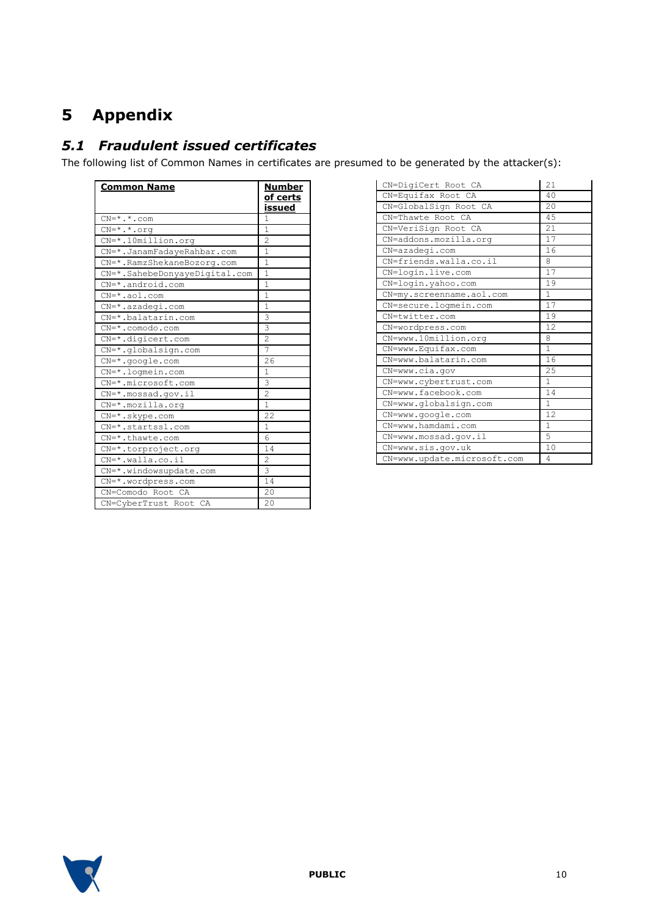# **5 Appendix**

## *5.1 Fraudulent issued certificates*

The following list of Common Names in certificates are presumed to be generated by the attacker(s):

| <u>Common Name</u>            | Number<br><u>of certs</u><br><u>issued</u> |
|-------------------------------|--------------------------------------------|
| $CN=$ *.*.com                 | 1                                          |
| $CN = *$ . *. org             | 1                                          |
| $CN = * .10$ million.org      | $\overline{2}$                             |
| CN=*.JanamFadayeRahbar.com    | 1                                          |
| CN=*.RamzShekaneBozorg.com    | 1                                          |
| CN=*.SahebeDonyayeDigital.com | 1                                          |
| $CN = * . android.com$        | 1                                          |
| $CN=*.aol.com$                | $\mathbf{1}$                               |
| $CN=$ *.azadegi.com           | $\mathbf{1}$                               |
| CN=*.balatarin.com            | 3                                          |
| $CN=$ *.comodo.com            | 3                                          |
| $CN=$ *.digicert.com          | $\overline{c}$                             |
| CN=*.globalsign.com           | 7                                          |
| $CN = * .qooqle.com$          | 26                                         |
| $CN=$ *.loqmein.com           | 1                                          |
| CN=*.microsoft.com            | 3                                          |
| $CN = *$ . mossad.gov.il      | $\overline{c}$                             |
| $CN=$ *.mozilla.org           | 1                                          |
| $CN = *$ . skype.com          | 22                                         |
| CN=*.startssl.com             | $\mathbf{1}$                               |
| $CN=$ *.thawte.com            | 6                                          |
| CN=*.torproject.org           | 14                                         |
| CN=*.walla.co.il              | 2                                          |
| CN=*.windowsupdate.com        | 3                                          |
| CN=*.wordpress.com            | 14                                         |
| CN=Comodo Root CA             | 20                                         |
| CN=CyberTrust Root CA         | 20                                         |

| CN=DigiCert Root CA         | 21           |
|-----------------------------|--------------|
| CN=Equifax Root CA          | 40           |
| CN=GlobalSign Root CA       | 20           |
| CN=Thawte Root CA           | 45           |
| CN=VeriSign Root CA         | 21           |
| CN=addons.mozilla.org       | 17           |
| CN=azadegi.com              | 16           |
| CN=friends.walla.co.il      | 8            |
| CN=login.live.com           | 17           |
| CN=login.yahoo.com          | 19           |
| CN=my.screenname.aol.com    | $\mathbf{1}$ |
| CN=secure.logmein.com       | 17           |
| CN=twitter.com              | 19           |
| CN=wordpress.com            | 12           |
| CN=www.10million.org        | 8            |
| CN=www.Equifax.com          | $\mathbf{1}$ |
| CN=www.balatarin.com        | 16           |
| CN=www.cia.gov              | 25           |
| CN=www.cybertrust.com       | $\mathbf{1}$ |
| CN=www.facebook.com         | 14           |
| CN=www.globalsign.com       | 1            |
| CN=www.google.com           | 12.          |
| CN=www.hamdami.com          | 1            |
| CN=www.mossad.gov.il        | 5            |
| CN=www.sis.gov.uk           | 10           |
| CN=www.update.microsoft.com | 4            |

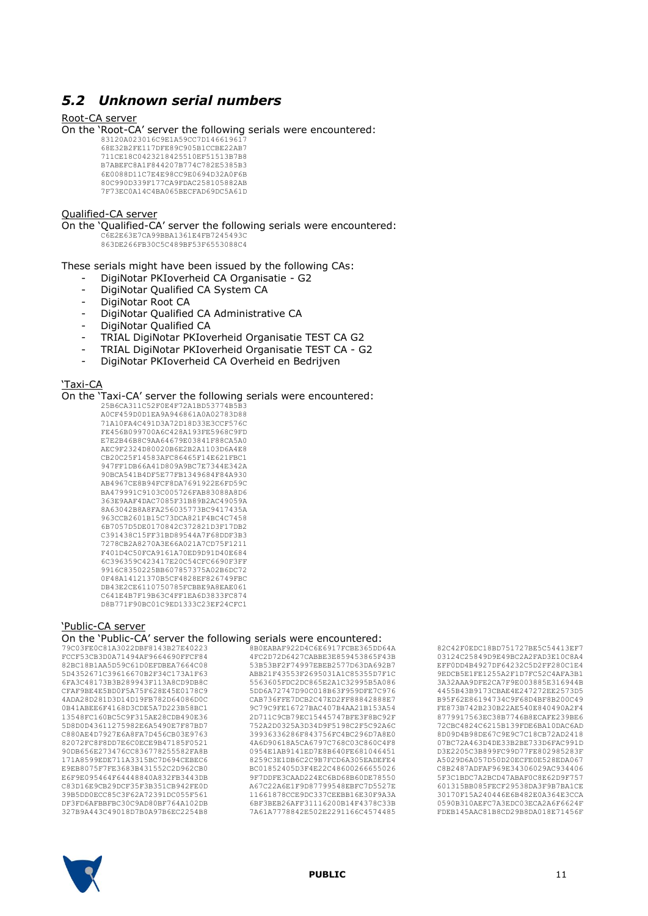## *5.2 Unknown serial numbers*

#### Root-CA server

On the "Root-CA" server the following serials were encountered:

83120A023016C9E1A59CC7D146619617 68E32B2FE117DFE89C905B1CCBE22AB7 711CE18C0423218425510EF51513B7B8 B7ABEFC8A1F844207B774C782E5385B3 6E0088D11C7E4E98CC9E0694D32A0F6B 80C990D339F177CA9FDAC258105882AB 7F73EC0A14C4BA065BECFAD69DC5A61D

#### Qualified-CA server

On the "Qualified-CA" server the following serials were encountered:

C6E2E63E7CA99BBA1361E4FB7245493C 863DE266FB30C5C489BF53F6553088C4

These serials might have been issued by the following CAs:

- DigiNotar PKIoverheid CA Organisatie G2
- DigiNotar Qualified CA System CA
- DigiNotar Root CA
- DigiNotar Qualified CA Administrative CA
- DigiNotar Qualified CA
- TRIAL DigiNotar PKIoverheid Organisatie TEST CA G2
- TRIAL DigiNotar PKIoverheid Organisatie TEST CA G2
- DigiNotar PKIoverheid CA Overheid en Bedrijven

#### 'Taxi-CA

On the "Taxi-CA" server the following serials were encountered:

25B6CA311C52F0E4F72A1BD53774B5B3 A0CF459D0D1EA9A946861A0A02783D88 71A10FA4C491D3A72D18D33E3CCF576C FE456B099700A6C428A193FE5968C9FD E7E2B46B8C9AA64679E03841F88CA5A0 AEC9F2324D80020B6E2B2A1103D6A4E8 CB20C25F14583AFC86465F14E621FBC1 947FF1DB66A41D809A9BC7E7344E342A 90BCA541B4DF5E77FB1349684F84A930 AB4967CE8B94FCF8DA7691922E6FD59C BA479991C9103C005726FAB83088A8D6 363E9AAF4DAC7085F31B89B2AC49059A 8A63042B8A8FA256035773BC9417435A 963CCB2601B15C73DCA821F4BC4C7458 6B7057D5DE0170842C372821D3F17DB2 C391438C15FF31BD89544A7F68DDF3B3 7278CB2A8270A3E66A021A7CD75F1211 F401D4C50FCA9161A70ED9D91D40E684 6C396359C423417E20C54CFC6690F3FF 9916C8350225BB607857375A02B6DC72 0F48A14121370B5CF4828EF826749FBC DB43E2CE6110750785FCBBE9A8EAE061 C641E4B7F19B63C4FF1EA6D3833FC874 D8B771F90BC01C9ED1333C23EF24CFC1

#### "Public-CA server

On the "Public-CA" server the following serials were encountered:  $365DD64A$ 

| 79C03FE0C81A3022DBF8143B27E40223 | 8B0EABAF922D4C6E6917FCBE365DD64A |
|----------------------------------|----------------------------------|
| FCCF53CB3D0A71494AF9664690FFCF84 | 4FC2D72D6427CABBE3E859453865F43B |
| 82BC18B1AA5D59C61D0EFDBEA7664C08 | 53B53BF2F74997EBEB2577D63DA692B7 |
| 5D4352671C39616670B2F34C173A1F63 | ABB21F43553F2695031A1C85355D7F1C |
| 6FA3C48173B3B289943F113A8CD9DB8C | 5563605FDC2DC865E2A1C32995B5A086 |
| CFAF9BE4E5BD0F5A75F628E45E0178C9 | 5DD6A72747D90C018B63F959DFE7C976 |
| 4ADA28D281D3D14D19FB782D64086D0C | CAB736FFE7DCB2C47ED2FF88842888E7 |
| 0B41ABEE6F4168D3CDE5A7D223B58BC1 | 9C79C9FE16727BAC407B4AA21B153A54 |
| 13548FC160BC5C9F315AE28CDB490E36 | 2D711C9CB79EC15445747BFE3F8BC92F |
| 5D8D0D43611275982E6A5490E7F87BD7 | 752A2D0325A3D34D9F5198C2F5C92A6C |
| C880AE4D7927E6A8FA7D456CB03E9763 | 39936336286F843756FC4BC296D7A8E0 |
| 82072FC8F8DD7E6C0ECE9B47185F0521 | 4A6D90618A5CA6797C768C03C860C4F8 |
| 90DB656E273476CC836778255582FA8B | 0954E1AB9141ED7E8B640FE681046451 |
| 171A8599EDE711A3315BC7D694CEBEC6 | 8259C3E1DB6C2C9B7FCD6A305EADEFE4 |
| E9EB8075F7FE3683B431552C2D962CB0 | BC01852405D3F4E22C48600266655026 |
| E6F9E095464F64448840A832FB3443DB | 9F7DDFE3CAAD224EC6BD68B60DE78550 |
| C83D16E9CB29DCF35F3B351CB942FE0D | A67C22A6E1F9D87799548EBFC7D5527E |
| 39B5DD0ECC85C3F62A72391DC055F561 | 11661878CCE9DC337CEEBB16E30F9A3A |
| DF3FD6AFBBFBC30C9AD80BF764A102DB | 6BF3BEB26AFF31116200B14F4378C33B |
| 327B9A443C49018D7B0A97B6EC2254B8 | 7A61A7778842E502E2291166C4574485 |
|                                  |                                  |

82C42F0EDC18BD751727BE5C54413EF7 03124C25849D9E49BC2A2FAD3E10C8A4 EFF0DD4B4927DF64232C5D2FF280C1E4 9EDCB5E1FE1255A2F1D7FC52C4AFA3B1 3A32AAA9DFE2CA7F9E003885E316944B 4455B43B9173CBAE4E247272EE2573D5 B95F62E86194734C9F68D4BF8B200C49 FE873B742B230B22AE540E840490A2F4 8779917563EC38B7746B8ECAFE239BE6 72CBC4824C6215B139FDE6BA10DAC6AD 8D09D4B98DE67C9E9C7C18CB72AD2418 07BC72A463D4DE33B2BE733D6FAC991D D3E2205C3B899FC99D77FE802985283F A5029D6A057D50D20ECFE0E528EDA067 C8B2487ADFAF969E34306029AC934406 5F3C1BDC7A2BCD47ABAF0C8E62D9F757 601315BB085FECF29538DA3F9B7BA1CE 30170F15A240446E6B482E0A364E3CCA 0590B310AEFC7A3EDC03ECA2A6F6624F FDEB145AAC81B8CD29B8DA018E71456F

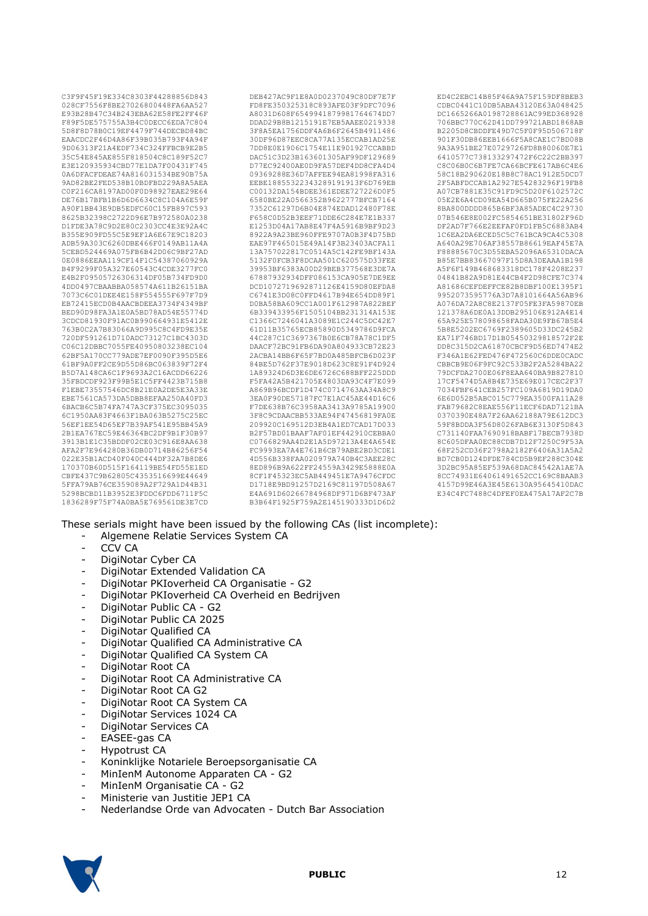C3F9F45F19E334C8303F44288856D843 028CF7556F8BE27026800448FA6AA527 E93B28B47C34B243EBA62E58FE2FF46F F89F5DE575755A3B4C0DECC6EDA7C804 5D8F8D78B0C19EF4479F744DECBD84BC EAACDC2F46D4A86F39B035B793F4A94F 9D06313F21A4EDF734C324FFBCB9E2B5 35C54E845AE855F818504C8C189F52C7 E3E120935934CBD77E1DA7F00431F745 0A6DFACFDEAE74A816031534BE90B75A 9AD82BE2FED538B10BDFBD229A8A5AEA C0F216CA8197AD00F0D98927EAE29E64 DE76B17BFB1B6D6D6634C8C104A6E59F A90F1BB43E9DB5EDFC60C15FB897C593 8625B32398C2722D96E7B972580A0238 D1FDE3A78C9D2E80C2303CC4E3E92A4C B355E909FD55C5E9EF1A6E67E9C18203 ADB59A303C6260DBE466F0149AB11A4A 5CEBD524469A075FB6B42D06C9BF27AD 0E0886EEAA119CF14F1C54387060929A B4F9299F05A327E60543C4CDE3277FC0 E4B2F09505726306314DF05B734FD9D0 4DD0497CBAABBA058574A611B26151BA 7073C6C01DEE4E158F554555F697F7D9 EB72415ECD0B4AACBDEEA3734F4349BF BED90D98FA3A1E0A5BD78AD54E55774D 3CDCD81930F91AC0B990664931E5412E 763B0C2A7B83066A9D995C8C4FD9E35E 720DF591261D710ADC73127C1BC4303D C06C12DBBC7055FE40950803238EC104 62BF5A170CC779ADE7EF0090F395D5E6 61BF9A0FF2CE9D55D86BC063839F72F4 B5D7A148CA6C1F9693A2C16ACDD66226 35FBDCDF923F99B5E1C5FF4423B715B8 F1EBE73557546DC8B21E0A2DE5E3A33E EBE7561CA573DA5DBB8EFAA250A40FD3 6BACB6C5B74FA747A3CF375EC3095035 6C1950AA83F4663F1BA063B5275C25EC 56EF1EE54D65EF7B39AF541E95BB45A9 2B1EA767EC59E46364BC2DF9B1F30B97 3913B1E1C35BDDF02CE03C916E8AA638 AFA2F7E964280B36DB0D714B86256F54 022E35B1ACD40F040C444DF32A7B8DE6 170370B60D515F164119BE54FD55E1ED CBFE437C9B62805C4353516699E44649 5FFA79AB76CE359089A2F729A1D44B31 5298BCBD11B3952E3FDDC6FDD6711F5C 1836289F75F74A0BA5E769561DE3E7CD DEB427AC9F1E8A0D0237049C80DF7E7F FD8FE350325318C893AFE03F9DFC7096 A8031D608F6549941879981764674DD7 DDAD29B8B1215191E7EB5AAEE0219338 3F8A5EA1756DDF4A6B6F2645B4911486 30DF96D87EEC8CA77A135ECCAB1AD25E 7DD8E0E1906C1754E11E901927CCABBD DAC51C3D23B163601305AF99DF129689 D77EC92400AE0D9FA57DEF4DD8CFA4D4 09369288E36D7AFFEE94EA81998FA316 EEBE18855322343289191913F6D769EB C00132DA154BDEE361EDEE727226D0F5 6580BE22A0566352B9622777BFCB7164 7352C61297D6B04E874EDAD12480F78E F658C0D52B3EEF71DDE6C284E7E1B337 E1253D04A17AB8E47F4A5916B9BF9D23 8922A9A23BE960FFE9707A0B3F4D75BD EAE97F465015E49A14F3B23403ACFA11 13A757022817C0514A5C142FE9BF143A 5132F0FCB3F8DCAA501C620575D33FEE 39953BF6383A00D29BEB377568E3DE7A 67887932934DFF086153CA905E7DE9EE DCD1072719692871126E4159D80EFDA8 C6741E3D08C0FFD4617B94E654DD89F1 D0BA58BA609CC1A001F612987A822BEF 6B339433956F1505104BB231314A153E C1366C7246041A3089E1C244C5DC42E7 61D11B35765ECB85890D5349786D9FCA 44C287C1C3697367B0E6CB78A78C1DF5 DAACF72BC91FB6DA90A804933CB72E23 2ACBA14BB6F65F7BD0A485BFCB6D023F 84BE5D762F37E9018D623C8E91F4D924 1A89324D6D3E6DE6726C688BFF225DDD F5FA42A5B421705E4803DA93C4F7E099 A869B96BCDF1D474C0714763AA34A8C9 3EA0F90DE57187FC7E1AC45AE44D16C6 F7DE638B76C3958AA3413A9785A19900 3F8C9CDAACBB533AE94F47456819FA0E 209920C169512D3EB4A1ED7CAD17D033 B2F57BD01BAAF7AF01EF442910CEBBA0 C0766829AA4D2E1A5D97213A4E4A654E FC9993EA7A4E761B6CB79ABE2BD3CDE1 4D556B338FAA020979A740B4C3AEE28C 8ED896B9A622FF24559A3429E5888E0A 8CF1F45323EC5AB449451E7A9476CFDC D1718E9BD91257D2169C81197D508A67 E4A691D60266784968DF971D6BF473AF B3B64F1925F759A2E145190333D1D6D2

ED4C2EBC14B85F46A9A75F159DF8BEB3 CDBC0441C10DB5ABA43120E63A048425 DC1665266A0198728861AC99ED368928 706BBC770C62D41DD799721ABD1868AB B2205D8CBDDFE49D7C5F0F95D506718F 901F30DB86EEB1666F5A8CAE1C7BD08B 9A3A951BE27E0729726FD8B80060E7E1 6410577C738133297472F6C22C2BB397 C8C06B0C6B7FE7CA66BCFE617AB6C4E6 58C18B290620E18B8C78AC1912E5DCD7 2F5ABFDCCAB1A2927E54283296F19FB8 A07CB7881E35C91FD9C5D20F6102572C 05E2E6A4CD09EA54D665B075FE22A256 8BA800DDDD865B6BF3A85ADEC4C29730 07B546E8E002FC5854651BE31802F96D DF2AD7F766E2EEFAF0FD1FB5C6883AB4 1C6EA2DA6ECED5C5C761BCA9CA4C5308 A640A29E706AF38557B86619EAF45E7A F88885670C3D55EBA52096A65310DACA B85E7BB83667097F15D8A3DEAAA1B198 A5F6F149B468683318DC178F4208E237 04841B82A9D81E44CB4F2D98CFE7C374 A81686CEFDEFFCE82B8DBF100E1395F1 9952073595776A3D7A8101664A56AB96 A076DA72A8C8E2137F05FE3FA59870EB 121378A6DE0A13DDB295106E912A4E14 65A925E578098658FADA30E9FB67B5E4 5B8E5202EC6769F2389605D33DC245B2 EA71F746BD17D1B05450329818572F2E DD8C315D2CA61870CBCF9D56ED7474E2 F346A1E62FED476F472560C6DDE0CADC CBBCB9E06F9FC92C533B2F2A5284BA22 79DCFDA2700E06F8EAA640BA9B827810 17CF5474D5A8B4E735E69E017CEC2F37 7034FBF641CEB257FC109A6819D19DA0 6E6D052B5ABC015C779EA3500FA11A28 FAB79682C8EAE556F11ECF6DAD7121BA 0370390E48A7F26AA62188A79E612DC3 59F8BDDA3F56D8026FAB6E3130F5D843 C731140FAA7690918BABF17BECB7938D 8C605DFAA0EC88CDB7D12F7250C9F53A 68F252CD36F2798A2182F6406A31A5A2 BD7CB0D124DFDE784CD5B9EF288C304E 3D2BC95A85EF539A68DAC84542A1AE7A 8CC74931E64061491652CC169C8BAAB3 4157D99E46A3E45E6130A95645410DAC E34C4FC7488C4DFEF0EA475A17AF2C7B

These serials might have been issued by the following CAs (list incomplete):

- Algemene Relatie Services System CA
- CCV CA
- DigiNotar Cyber CA
- DigiNotar Extended Validation CA
- DigiNotar PKIoverheid CA Organisatie G2
- DigiNotar PKIoverheid CA Overheid en Bedrijven
- DigiNotar Public CA G2
- DigiNotar Public CA 2025
- DigiNotar Qualified CA
- DigiNotar Qualified CA Administrative CA
- DigiNotar Qualified CA System CA
- DigiNotar Root CA
- DigiNotar Root CA Administrative CA
- DigiNotar Root CA G2
- DigiNotar Root CA System CA
- DigiNotar Services 1024 CA
- DigiNotar Services CA
- EASEE-gas CA
- Hypotrust CA
- Koninklijke Notariele Beroepsorganisatie CA
- MinIenM Autonome Apparaten CA G2
- MinIenM Organisatie CA G2
- Ministerie van Justitie JEP1 CA
- Nederlandse Orde van Advocaten Dutch Bar Association